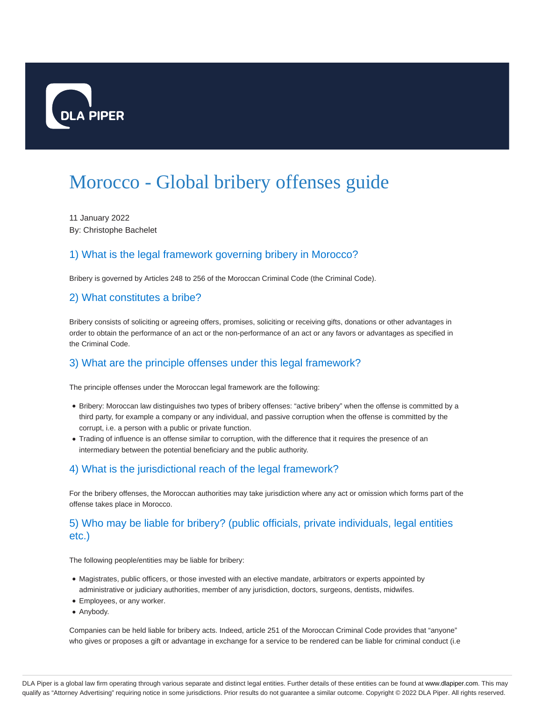

# Morocco - Global bribery offenses guide

11 January 2022 By: Christophe Bachelet

# 1) What is the legal framework governing bribery in Morocco?

Bribery is governed by Articles 248 to 256 of the Moroccan Criminal Code (the Criminal Code).

#### 2) What constitutes a bribe?

Bribery consists of soliciting or agreeing offers, promises, soliciting or receiving gifts, donations or other advantages in order to obtain the performance of an act or the non-performance of an act or any favors or advantages as specified in the Criminal Code.

# 3) What are the principle offenses under this legal framework?

The principle offenses under the Moroccan legal framework are the following:

- Bribery: Moroccan law distinguishes two types of bribery offenses: "active bribery" when the offense is committed by a third party, for example a company or any individual, and passive corruption when the offense is committed by the corrupt, i.e. a person with a public or private function.
- Trading of influence is an offense similar to corruption, with the difference that it requires the presence of an intermediary between the potential beneficiary and the public authority.

# 4) What is the jurisdictional reach of the legal framework?

For the bribery offenses, the Moroccan authorities may take jurisdiction where any act or omission which forms part of the offense takes place in Morocco.

# 5) Who may be liable for bribery? (public officials, private individuals, legal entities etc.)

The following people/entities may be liable for bribery:

- Magistrates, public officers, or those invested with an elective mandate, arbitrators or experts appointed by administrative or judiciary authorities, member of any jurisdiction, doctors, surgeons, dentists, midwifes.
- Employees, or any worker.
- Anybody.

Companies can be held liable for bribery acts. Indeed, article 251 of the Moroccan Criminal Code provides that "anyone" who gives or proposes a gift or advantage in exchange for a service to be rendered can be liable for criminal conduct (i.e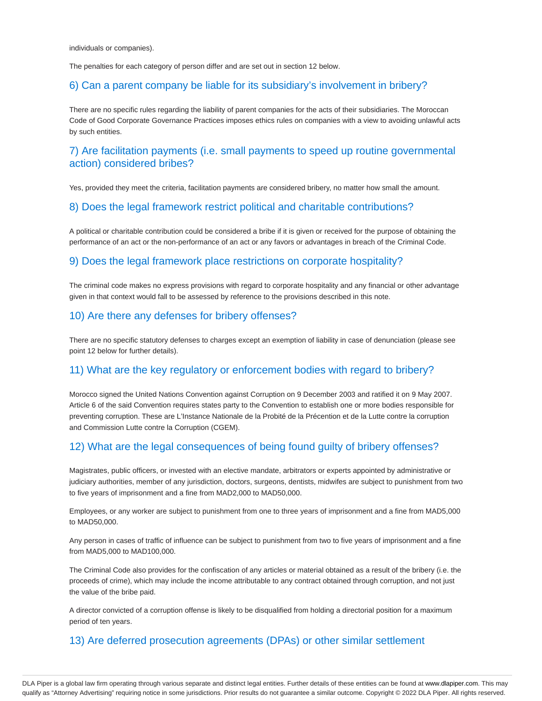individuals or companies).

The penalties for each category of person differ and are set out in section 12 below.

#### 6) Can a parent company be liable for its subsidiary's involvement in bribery?

There are no specific rules regarding the liability of parent companies for the acts of their subsidiaries. The Moroccan Code of Good Corporate Governance Practices imposes ethics rules on companies with a view to avoiding unlawful acts by such entities.

# 7) Are facilitation payments (i.e. small payments to speed up routine governmental action) considered bribes?

Yes, provided they meet the criteria, facilitation payments are considered bribery, no matter how small the amount.

#### 8) Does the legal framework restrict political and charitable contributions?

A political or charitable contribution could be considered a bribe if it is given or received for the purpose of obtaining the performance of an act or the non-performance of an act or any favors or advantages in breach of the Criminal Code.

#### 9) Does the legal framework place restrictions on corporate hospitality?

The criminal code makes no express provisions with regard to corporate hospitality and any financial or other advantage given in that context would fall to be assessed by reference to the provisions described in this note.

#### 10) Are there any defenses for bribery offenses?

There are no specific statutory defenses to charges except an exemption of liability in case of denunciation (please see point 12 below for further details).

#### 11) What are the key regulatory or enforcement bodies with regard to bribery?

Morocco signed the United Nations Convention against Corruption on 9 December 2003 and ratified it on 9 May 2007. Article 6 of the said Convention requires states party to the Convention to establish one or more bodies responsible for preventing corruption. These are L'Instance Nationale de la Probité de la Précention et de la Lutte contre la corruption and Commission Lutte contre la Corruption (CGEM).

#### 12) What are the legal consequences of being found guilty of bribery offenses?

Magistrates, public officers, or invested with an elective mandate, arbitrators or experts appointed by administrative or judiciary authorities, member of any jurisdiction, doctors, surgeons, dentists, midwifes are subject to punishment from two to five years of imprisonment and a fine from MAD2,000 to MAD50,000.

Employees, or any worker are subject to punishment from one to three years of imprisonment and a fine from MAD5,000 to MAD50,000.

Any person in cases of traffic of influence can be subject to punishment from two to five years of imprisonment and a fine from MAD5,000 to MAD100,000.

The Criminal Code also provides for the confiscation of any articles or material obtained as a result of the bribery (i.e. the proceeds of crime), which may include the income attributable to any contract obtained through corruption, and not just the value of the bribe paid.

A director convicted of a corruption offense is likely to be disqualified from holding a directorial position for a maximum period of ten years.

#### 13) Are deferred prosecution agreements (DPAs) or other similar settlement

DLA Piper is a global law firm operating through various separate and distinct legal entities. Further details of these entities can be found at www.dlapiper.com. This may qualify as "Attorney Advertising" requiring notice in some jurisdictions. Prior results do not guarantee a similar outcome. Copyright © 2022 DLA Piper. All rights reserved.